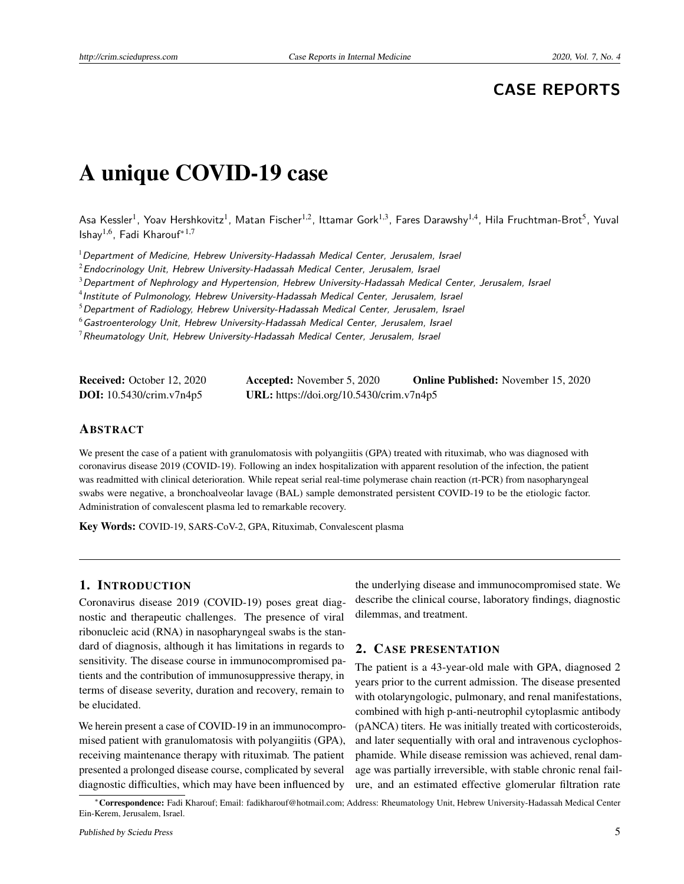# **CASE REPORTS**

# A unique COVID-19 case

Asa Kessler<sup>1</sup>, Yoav Hershkovitz<sup>1</sup>, Matan Fischer<sup>1,2</sup>, Ittamar Gork<sup>1,3</sup>, Fares Darawshy<sup>1,4</sup>, Hila Fruchtman-Brot<sup>5</sup>, Yuval Ishay1,6, Fadi Kharouf∗1,7

 $1$ Department of Medicine, Hebrew University-Hadassah Medical Center, Jerusalem, Israel

 $2$ Endocrinology Unit, Hebrew University-Hadassah Medical Center, Jerusalem, Israel

 $3$ Department of Nephrology and Hypertension, Hebrew University-Hadassah Medical Center, Jerusalem, Israel

4 Institute of Pulmonology, Hebrew University-Hadassah Medical Center, Jerusalem, Israel

 $5$ Department of Radiology, Hebrew University-Hadassah Medical Center, Jerusalem, Israel

 $6$ Gastroenterology Unit, Hebrew University-Hadassah Medical Center, Jerusalem, Israel

 $7$ Rheumatology Unit, Hebrew University-Hadassah Medical Center, Jerusalem, Israel

| <b>Received:</b> October 12, 2020 | <b>Accepted:</b> November 5, 2020        | <b>Online Published:</b> November 15, 2020 |
|-----------------------------------|------------------------------------------|--------------------------------------------|
| <b>DOI:</b> $10.5430/crim.v7n4p5$ | URL: https://doi.org/10.5430/crim.v7n4p5 |                                            |

## ABSTRACT

We present the case of a patient with granulomatosis with polyangiitis (GPA) treated with rituximab, who was diagnosed with coronavirus disease 2019 (COVID-19). Following an index hospitalization with apparent resolution of the infection, the patient was readmitted with clinical deterioration. While repeat serial real-time polymerase chain reaction (rt-PCR) from nasopharyngeal swabs were negative, a bronchoalveolar lavage (BAL) sample demonstrated persistent COVID-19 to be the etiologic factor. Administration of convalescent plasma led to remarkable recovery.

Key Words: COVID-19, SARS-CoV-2, GPA, Rituximab, Convalescent plasma

#### 1. INTRODUCTION

Coronavirus disease 2019 (COVID-19) poses great diagnostic and therapeutic challenges. The presence of viral ribonucleic acid (RNA) in nasopharyngeal swabs is the standard of diagnosis, although it has limitations in regards to sensitivity. The disease course in immunocompromised patients and the contribution of immunosuppressive therapy, in terms of disease severity, duration and recovery, remain to be elucidated.

We herein present a case of COVID-19 in an immunocompromised patient with granulomatosis with polyangiitis (GPA), receiving maintenance therapy with rituximab. The patient presented a prolonged disease course, complicated by several diagnostic difficulties, which may have been influenced by

the underlying disease and immunocompromised state. We describe the clinical course, laboratory findings, diagnostic dilemmas, and treatment.

## 2. CASE PRESENTATION

The patient is a 43-year-old male with GPA, diagnosed 2 years prior to the current admission. The disease presented with otolaryngologic, pulmonary, and renal manifestations, combined with high p-anti-neutrophil cytoplasmic antibody (pANCA) titers. He was initially treated with corticosteroids, and later sequentially with oral and intravenous cyclophosphamide. While disease remission was achieved, renal damage was partially irreversible, with stable chronic renal failure, and an estimated effective glomerular filtration rate

<sup>∗</sup>Correspondence: Fadi Kharouf; Email: fadikharouf@hotmail.com; Address: Rheumatology Unit, Hebrew University-Hadassah Medical Center Ein-Kerem, Jerusalem, Israel.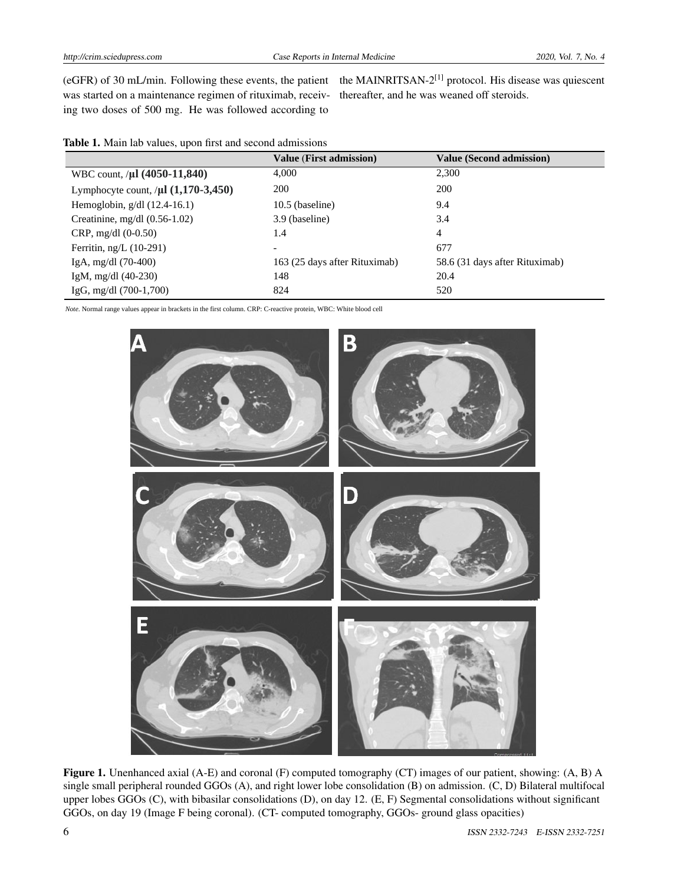was started on a maintenance regimen of rituximab, receiv-thereafter, and he was weaned off steroids. ing two doses of 500 mg. He was followed according to

(eGFR) of 30 mL/min. Following these events, the patient the MAINRITSAN-2<sup>[\[1\]](#page-3-0)</sup> protocol. His disease was quiescent

|                                            | <b>Value (First admission)</b> | <b>Value (Second admission)</b> |
|--------------------------------------------|--------------------------------|---------------------------------|
| WBC count, / $\mu$ l (4050-11,840)         | 4.000                          | 2,300                           |
| Lymphocyte count, $/\mu$ l $(1,170-3,450)$ | <b>200</b>                     | 200                             |
| Hemoglobin, $g/dl$ (12.4-16.1)             | $10.5$ (baseline)              | 9.4                             |
| Creatinine, mg/dl $(0.56-1.02)$            | 3.9 (baseline)                 | 3.4                             |
| $CRP$ , mg/dl $(0-0.50)$                   | 1.4                            | 4                               |
| Ferritin, $ng/L$ (10-291)                  |                                | 677                             |
| IgA, mg/dl $(70-400)$                      | 163 (25 days after Rituximab)  | 58.6 (31 days after Rituximab)  |
| IgM, mg/dl $(40-230)$                      | 148                            | 20.4                            |
| IgG, mg/dl $(700-1,700)$                   | 824                            | 520                             |

*Note*. Normal range values appear in brackets in the first column. CRP: C-reactive protein, WBC: White blood cell



Figure 1. Unenhanced axial (A-E) and coronal (F) computed tomography (CT) images of our patient, showing: (A, B) A single small peripheral rounded GGOs (A), and right lower lobe consolidation (B) on admission. (C, D) Bilateral multifocal upper lobes GGOs (C), with bibasilar consolidations (D), on day 12. (E, F) Segmental consolidations without significant GGOs, on day 19 (Image F being coronal). (CT- computed tomography, GGOs- ground glass opacities)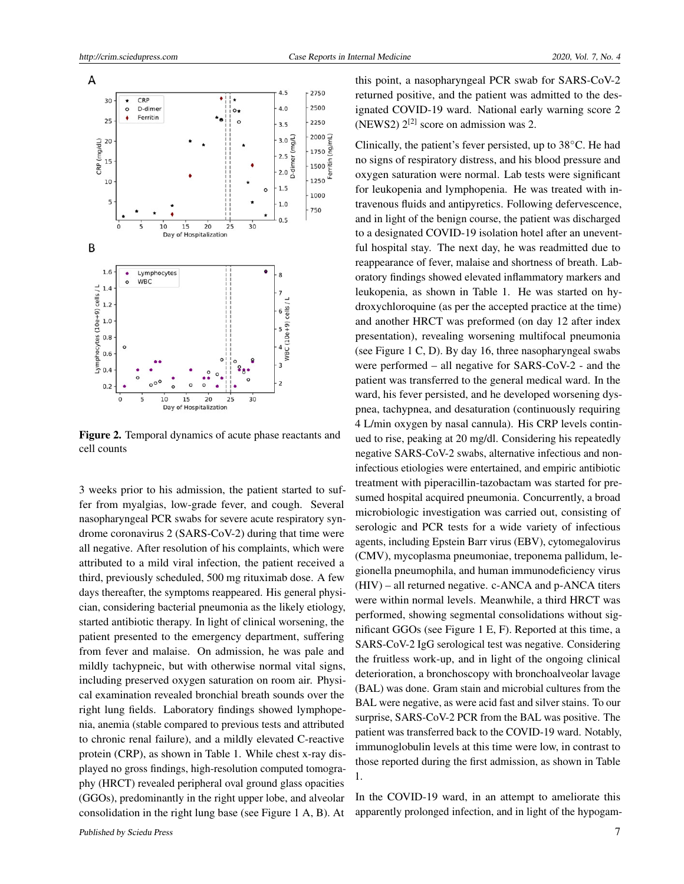

Figure 2. Temporal dynamics of acute phase reactants and cell counts

3 weeks prior to his admission, the patient started to suffer from myalgias, low-grade fever, and cough. Several nasopharyngeal PCR swabs for severe acute respiratory syndrome coronavirus 2 (SARS-CoV-2) during that time were all negative. After resolution of his complaints, which were attributed to a mild viral infection, the patient received a third, previously scheduled, 500 mg rituximab dose. A few days thereafter, the symptoms reappeared. His general physician, considering bacterial pneumonia as the likely etiology, started antibiotic therapy. In light of clinical worsening, the patient presented to the emergency department, suffering from fever and malaise. On admission, he was pale and mildly tachypneic, but with otherwise normal vital signs, including preserved oxygen saturation on room air. Physical examination revealed bronchial breath sounds over the right lung fields. Laboratory findings showed lymphopenia, anemia (stable compared to previous tests and attributed to chronic renal failure), and a mildly elevated C-reactive protein (CRP), as shown in Table 1. While chest x-ray displayed no gross findings, high-resolution computed tomography (HRCT) revealed peripheral oval ground glass opacities (GGOs), predominantly in the right upper lobe, and alveolar consolidation in the right lung base (see Figure 1 A, B). At this point, a nasopharyngeal PCR swab for SARS-CoV-2 returned positive, and the patient was admitted to the designated COVID-19 ward. National early warning score 2 (NEWS2)  $2^{[2]}$  $2^{[2]}$  $2^{[2]}$  score on admission was 2.

Clinically, the patient's fever persisted, up to 38◦C. He had no signs of respiratory distress, and his blood pressure and oxygen saturation were normal. Lab tests were significant for leukopenia and lymphopenia. He was treated with intravenous fluids and antipyretics. Following defervescence, and in light of the benign course, the patient was discharged to a designated COVID-19 isolation hotel after an uneventful hospital stay. The next day, he was readmitted due to reappearance of fever, malaise and shortness of breath. Laboratory findings showed elevated inflammatory markers and leukopenia, as shown in Table 1. He was started on hydroxychloroquine (as per the accepted practice at the time) and another HRCT was preformed (on day 12 after index presentation), revealing worsening multifocal pneumonia (see Figure 1 C, D). By day 16, three nasopharyngeal swabs were performed – all negative for SARS-CoV-2 - and the patient was transferred to the general medical ward. In the ward, his fever persisted, and he developed worsening dyspnea, tachypnea, and desaturation (continuously requiring 4 L/min oxygen by nasal cannula). His CRP levels continued to rise, peaking at 20 mg/dl. Considering his repeatedly negative SARS-CoV-2 swabs, alternative infectious and noninfectious etiologies were entertained, and empiric antibiotic treatment with piperacillin-tazobactam was started for presumed hospital acquired pneumonia. Concurrently, a broad microbiologic investigation was carried out, consisting of serologic and PCR tests for a wide variety of infectious agents, including Epstein Barr virus (EBV), cytomegalovirus (CMV), mycoplasma pneumoniae, treponema pallidum, legionella pneumophila, and human immunodeficiency virus (HIV) – all returned negative. c-ANCA and p-ANCA titers were within normal levels. Meanwhile, a third HRCT was performed, showing segmental consolidations without significant GGOs (see Figure 1 E, F). Reported at this time, a SARS-CoV-2 IgG serological test was negative. Considering the fruitless work-up, and in light of the ongoing clinical deterioration, a bronchoscopy with bronchoalveolar lavage (BAL) was done. Gram stain and microbial cultures from the BAL were negative, as were acid fast and silver stains. To our surprise, SARS-CoV-2 PCR from the BAL was positive. The patient was transferred back to the COVID-19 ward. Notably, immunoglobulin levels at this time were low, in contrast to those reported during the first admission, as shown in Table 1.

In the COVID-19 ward, in an attempt to ameliorate this apparently prolonged infection, and in light of the hypogam-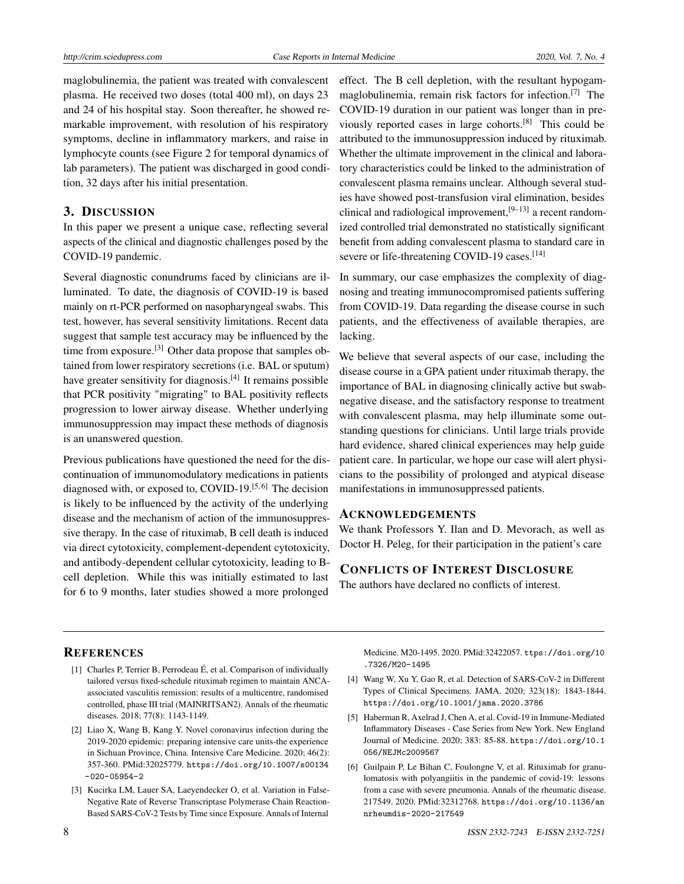maglobulinemia, the patient was treated with convalescent plasma. He received two doses (total 400 ml), on days 23 and 24 of his hospital stay. Soon thereafter, he showed remarkable improvement, with resolution of his respiratory symptoms, decline in inflammatory markers, and raise in lymphocyte counts (see Figure 2 for temporal dynamics of lab parameters). The patient was discharged in good condition, 32 days after his initial presentation.

## 3. DISCUSSION

In this paper we present a unique case, reflecting several aspects of the clinical and diagnostic challenges posed by the COVID-19 pandemic.

Several diagnostic conundrums faced by clinicians are illuminated. To date, the diagnosis of COVID-19 is based mainly on rt-PCR performed on nasopharyngeal swabs. This test, however, has several sensitivity limitations. Recent data suggest that sample test accuracy may be influenced by the time from exposure.<sup>[\[3\]](#page-3-2)</sup> Other data propose that samples obtained from lower respiratory secretions (i.e. BAL or sputum) have greater sensitivity for diagnosis.<sup>[\[4\]](#page-3-3)</sup> It remains possible that PCR positivity "migrating" to BAL positivity reflects progression to lower airway disease. Whether underlying immunosuppression may impact these methods of diagnosis is an unanswered question.

Previous publications have questioned the need for the discontinuation of immunomodulatory medications in patients diagnosed with, or exposed to, COVID-19.<sup>[\[5,](#page-3-4)[6\]](#page-3-5)</sup> The decision is likely to be influenced by the activity of the underlying disease and the mechanism of action of the immunosuppressive therapy. In the case of rituximab, B cell death is induced via direct cytotoxicity, complement-dependent cytotoxicity, and antibody-dependent cellular cytotoxicity, leading to Bcell depletion. While this was initially estimated to last for 6 to 9 months, later studies showed a more prolonged

effect. The B cell depletion, with the resultant hypogammaglobulinemia, remain risk factors for infection.[\[7\]](#page-4-0) The COVID-19 duration in our patient was longer than in previously reported cases in large cohorts.[\[8\]](#page-4-1) This could be attributed to the immunosuppression induced by rituximab. Whether the ultimate improvement in the clinical and laboratory characteristics could be linked to the administration of convalescent plasma remains unclear. Although several studies have showed post-transfusion viral elimination, besides clinical and radiological improvement,  $[9-13]$  $[9-13]$  a recent randomized controlled trial demonstrated no statistically significant benefit from adding convalescent plasma to standard care in severe or life-threatening COVID-19 cases.<sup>[\[14\]](#page-4-4)</sup>

In summary, our case emphasizes the complexity of diagnosing and treating immunocompromised patients suffering from COVID-19. Data regarding the disease course in such patients, and the effectiveness of available therapies, are lacking.

We believe that several aspects of our case, including the disease course in a GPA patient under rituximab therapy, the importance of BAL in diagnosing clinically active but swabnegative disease, and the satisfactory response to treatment with convalescent plasma, may help illuminate some outstanding questions for clinicians. Until large trials provide hard evidence, shared clinical experiences may help guide patient care. In particular, we hope our case will alert physicians to the possibility of prolonged and atypical disease manifestations in immunosuppressed patients.

#### ACKNOWLEDGEMENTS

We thank Professors Y. Ilan and D. Mevorach, as well as Doctor H. Peleg, for their participation in the patient's care

# CONFLICTS OF INTEREST DISCLOSURE

The authors have declared no conflicts of interest.

#### **REFERENCES**

- <span id="page-3-0"></span>[1] Charles P, Terrier B, Perrodeau É, et al. Comparison of individually tailored versus fixed-schedule rituximab regimen to maintain ANCAassociated vasculitis remission: results of a multicentre, randomised controlled, phase III trial (MAINRITSAN2). Annals of the rheumatic diseases. 2018; 77(8): 1143-1149.
- <span id="page-3-1"></span>[2] Liao X, Wang B, Kang Y. Novel coronavirus infection during the 2019-2020 epidemic: preparing intensive care units-the experience in Sichuan Province, China. Intensive Care Medicine. 2020; 46(2): 357-360. PMid:32025779. [https://doi.org/10.1007/s00134](https://doi.org/10.1007/s00134-020-05954-2)  $-020-05954-2$
- <span id="page-3-2"></span>[3] Kucirka LM, Lauer SA, Laeyendecker O, et al. Variation in False-Negative Rate of Reverse Transcriptase Polymerase Chain Reaction-Based SARS-CoV-2 Tests by Time since Exposure. Annals of Internal
- Medicine. M20-1495. 2020. PMid:32422057. [ttps://doi.org/10](ttps://doi.org/10.7326/M20-1495) [.7326/M20-1495](ttps://doi.org/10.7326/M20-1495)
- <span id="page-3-3"></span>[4] Wang W, Xu Y, Gao R, et al. Detection of SARS-CoV-2 in Different Types of Clinical Specimens. JAMA. 2020; 323(18): 1843-1844. <https://doi.org/10.1001/jama.2020.3786>
- <span id="page-3-4"></span>[5] Haberman R, Axelrad J, Chen A, et al. Covid-19 in Immune-Mediated Inflammatory Diseases - Case Series from New York. New England Journal of Medicine. 2020; 383: 85-88. [https://doi.org/10.1](https://doi.org/10.1056/NEJMc2009567) [056/NEJMc2009567](https://doi.org/10.1056/NEJMc2009567)
- <span id="page-3-5"></span>[6] Guilpain P, Le Bihan C, Foulongne V, et al. Rituximab for granulomatosis with polyangiitis in the pandemic of covid-19: lessons from a case with severe pneumonia. Annals of the rheumatic disease. 217549. 2020. PMid:32312768. [https://doi.org/10.1136/an](https://doi.org/10.1136/annrheumdis-2020-217549) [nrheumdis-2020-217549](https://doi.org/10.1136/annrheumdis-2020-217549)